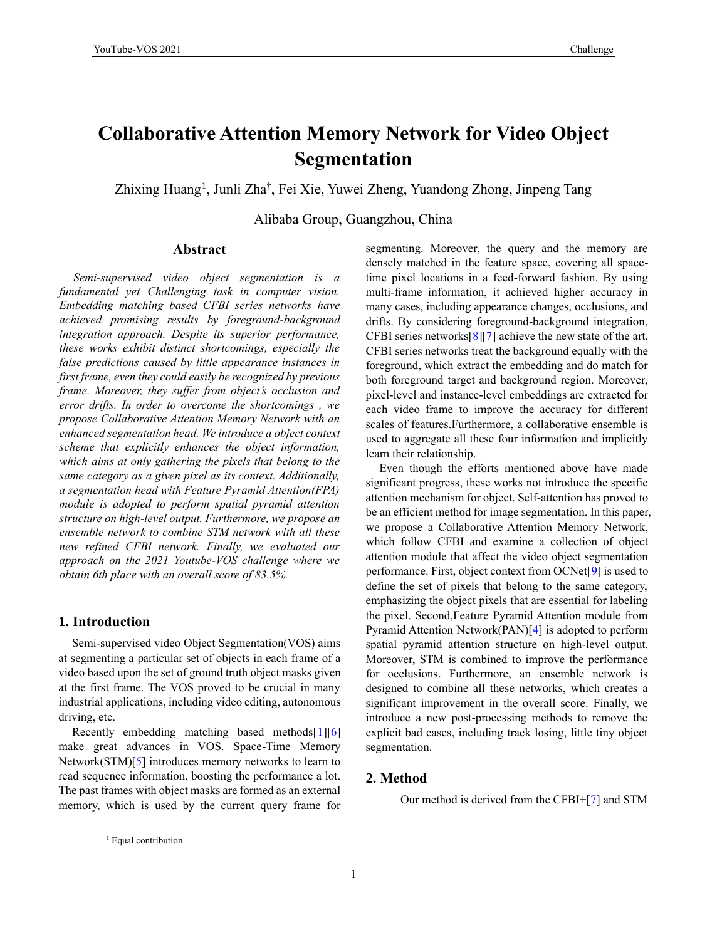# **Collaborative Attention Memory Network for Video Object Segmentation**

Zhixing Huang<sup>1</sup>, Junli Zha<sup>†</sup>, Fei Xie, Yuwei Zheng, Yuandong Zhong, Jinpeng Tang

Alibaba Group, Guangzhou, China

### **Abstract**

*Semi-supervised video object segmentation is a fundamental yet Challenging task in computer vision. Embedding matching based CFBI series networks have achieved promising results by foreground-background integration approach. Despite its superior performance, these works exhibit distinct shortcomings, especially the false predictions caused by little appearance instances in first frame, even they could easily be recognized by previous frame. Moreover, they suffer from object's occlusion and error drifts. In order to overcome the shortcomings , we propose Collaborative Attention Memory Network with an enhanced segmentation head. We introduce a object context scheme that explicitly enhances the object information, which aims at only gathering the pixels that belong to the same category as a given pixel as its context. Additionally, a segmentation head with Feature Pyramid Attention(FPA) module is adopted to perform spatial pyramid attention structure on high-level output. Furthermore, we propose an ensemble network to combine STM network with all these new refined CFBI network. Finally, we evaluated our approach on the 2021 Youtube-VOS challenge where we obtain 6th place with an overall score of 83.5%.*

## **1. Introduction**

Semi-supervised video Object Segmentation(VOS) aims at segmenting a particular set of objects in each frame of a video based upon the set of ground truth object masks given at the first frame. The VOS proved to be crucial in many industrial applications, including video editing, autonomous driving, etc.

Recently embedding matching based methods[1][6] make great advances in VOS. Space-Time Memory Network(STM)[5] introduces memory networks to learn to read sequence information, boosting the performance a lot. The past frames with object masks are formed as an external memory, which is used by the current query frame for segmenting. Moreover, the query and the memory are densely matched in the feature space, covering all spacetime pixel locations in a feed-forward fashion. By using multi-frame information, it achieved higher accuracy in many cases, including appearance changes, occlusions, and drifts. By considering foreground-background integration, CFBI series networks[8][7] achieve the new state of the art. CFBI series networks treat the background equally with the foreground, which extract the embedding and do match for both foreground target and background region. Moreover, pixel-level and instance-level embeddings are extracted for each video frame to improve the accuracy for different scales of features.Furthermore, a collaborative ensemble is used to aggregate all these four information and implicitly learn their relationship.

Even though the efforts mentioned above have made significant progress, these works not introduce the specific attention mechanism for object. Self-attention has proved to be an efficient method for image segmentation. In this paper, we propose a Collaborative Attention Memory Network, which follow CFBI and examine a collection of object attention module that affect the video object segmentation performance. First, object context from OCNet[9] is used to define the set of pixels that belong to the same category, emphasizing the object pixels that are essential for labeling the pixel. Second,Feature Pyramid Attention module from Pyramid Attention Network(PAN)[4] is adopted to perform spatial pyramid attention structure on high-level output. Moreover, STM is combined to improve the performance for occlusions. Furthermore, an ensemble network is designed to combine all these networks, which creates a significant improvement in the overall score. Finally, we introduce a new post-processing methods to remove the explicit bad cases, including track losing, little tiny object segmentation.

## **2. Method**

Our method is derived from the CFBI+[7] and STM

<sup>&</sup>lt;sup>1</sup> Equal contribution.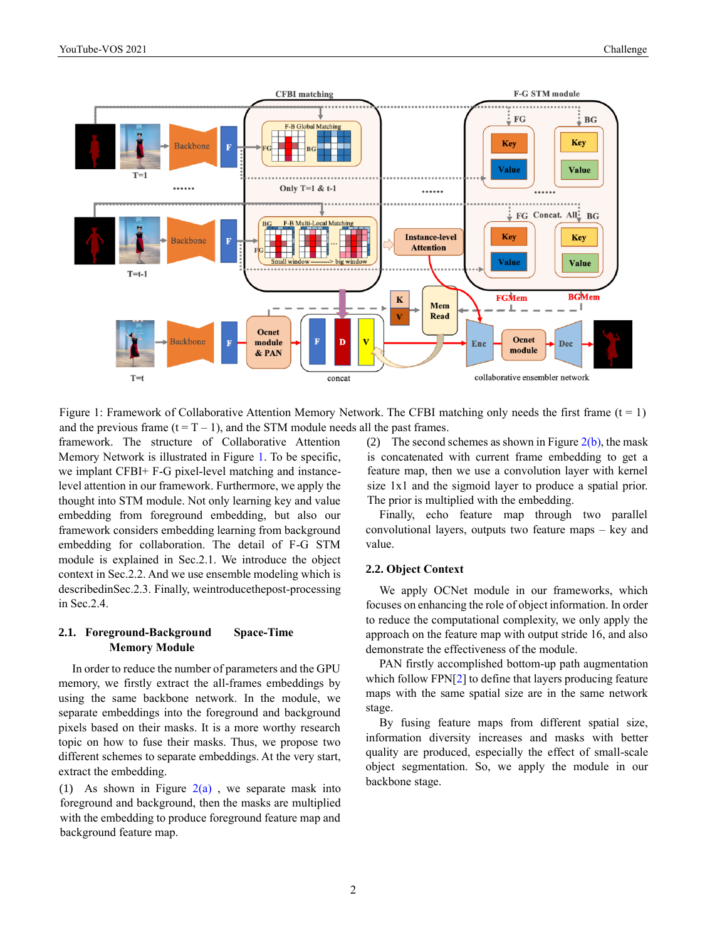

Figure 1: Framework of Collaborative Attention Memory Network. The CFBI matching only needs the first frame (t = 1) and the previous frame  $(t = T - 1)$ , and the STM module needs all the past frames.

framework. The structure of Collaborative Attention Memory Network is illustrated in Figure 1. To be specific, we implant CFBI+ F-G pixel-level matching and instancelevel attention in our framework. Furthermore, we apply the thought into STM module. Not only learning key and value embedding from foreground embedding, but also our framework considers embedding learning from background embedding for collaboration. The detail of F-G STM module is explained in Sec.2.1. We introduce the object context in Sec.2.2. And we use ensemble modeling which is describedinSec.2.3. Finally, weintroducethepost-processing in Sec.2.4.

## **2.1. Foreground-Background Space-Time Memory Module**

In order to reduce the number of parameters and the GPU memory, we firstly extract the all-frames embeddings by using the same backbone network. In the module, we separate embeddings into the foreground and background pixels based on their masks. It is a more worthy research topic on how to fuse their masks. Thus, we propose two different schemes to separate embeddings. At the very start, extract the embedding.

(1) As shown in Figure  $2(a)$ , we separate mask into foreground and background, then the masks are multiplied with the embedding to produce foreground feature map and background feature map.

(2) The second schemes as shown in Figure  $2(b)$ , the mask is concatenated with current frame embedding to get a feature map, then we use a convolution layer with kernel size 1x1 and the sigmoid layer to produce a spatial prior. The prior is multiplied with the embedding.

Finally, echo feature map through two parallel convolutional layers, outputs two feature maps – key and value.

#### **2.2. Object Context**

We apply OCNet module in our frameworks, which focuses on enhancing the role of object information. In order to reduce the computational complexity, we only apply the approach on the feature map with output stride 16, and also demonstrate the effectiveness of the module.

PAN firstly accomplished bottom-up path augmentation which follow FPN[2] to define that layers producing feature maps with the same spatial size are in the same network stage.

By fusing feature maps from different spatial size, information diversity increases and masks with better quality are produced, especially the effect of small-scale object segmentation. So, we apply the module in our backbone stage.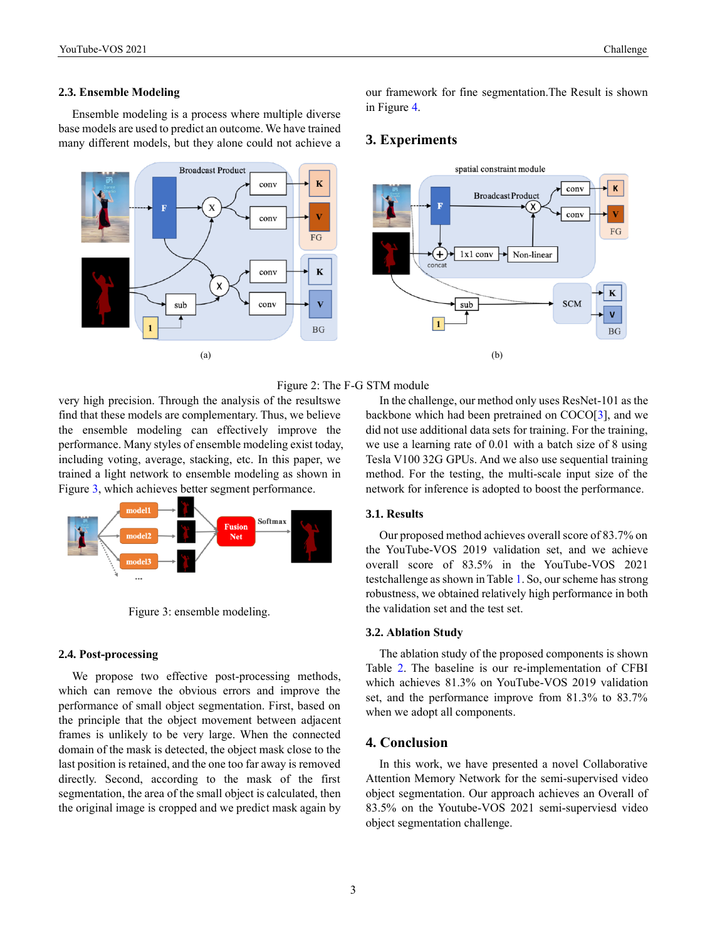#### **2.3. Ensemble Modeling**

Ensemble modeling is a process where multiple diverse base models are used to predict an outcome. We have trained many different models, but they alone could not achieve a



our framework for fine segmentation.The Result is shown in Figure 4.

## **3. Experiments**



## Figure 2: The F-G STM module

very high precision. Through the analysis of the resultswe find that these models are complementary. Thus, we believe the ensemble modeling can effectively improve the performance. Many styles of ensemble modeling exist today, including voting, average, stacking, etc. In this paper, we trained a light network to ensemble modeling as shown in Figure 3, which achieves better segment performance.



Figure 3: ensemble modeling.

## **2.4. Post-processing**

We propose two effective post-processing methods, which can remove the obvious errors and improve the performance of small object segmentation. First, based on the principle that the object movement between adjacent frames is unlikely to be very large. When the connected domain of the mask is detected, the object mask close to the last position is retained, and the one too far away is removed directly. Second, according to the mask of the first segmentation, the area of the small object is calculated, then the original image is cropped and we predict mask again by

In the challenge, our method only uses ResNet-101 as the backbone which had been pretrained on COCO[3], and we did not use additional data sets for training. For the training, we use a learning rate of 0.01 with a batch size of 8 using Tesla V100 32G GPUs. And we also use sequential training method. For the testing, the multi-scale input size of the network for inference is adopted to boost the performance.

## **3.1. Results**

Our proposed method achieves overall score of 83.7% on the YouTube-VOS 2019 validation set, and we achieve overall score of 83.5% in the YouTube-VOS 2021 testchallenge as shown in Table 1. So, our scheme has strong robustness, we obtained relatively high performance in both the validation set and the test set.

## **3.2. Ablation Study**

The ablation study of the proposed components is shown Table 2. The baseline is our re-implementation of CFBI which achieves 81.3% on YouTube-VOS 2019 validation set, and the performance improve from 81.3% to 83.7% when we adopt all components.

## **4. Conclusion**

In this work, we have presented a novel Collaborative Attention Memory Network for the semi-supervised video object segmentation. Our approach achieves an Overall of 83.5% on the Youtube-VOS 2021 semi-superviesd video object segmentation challenge.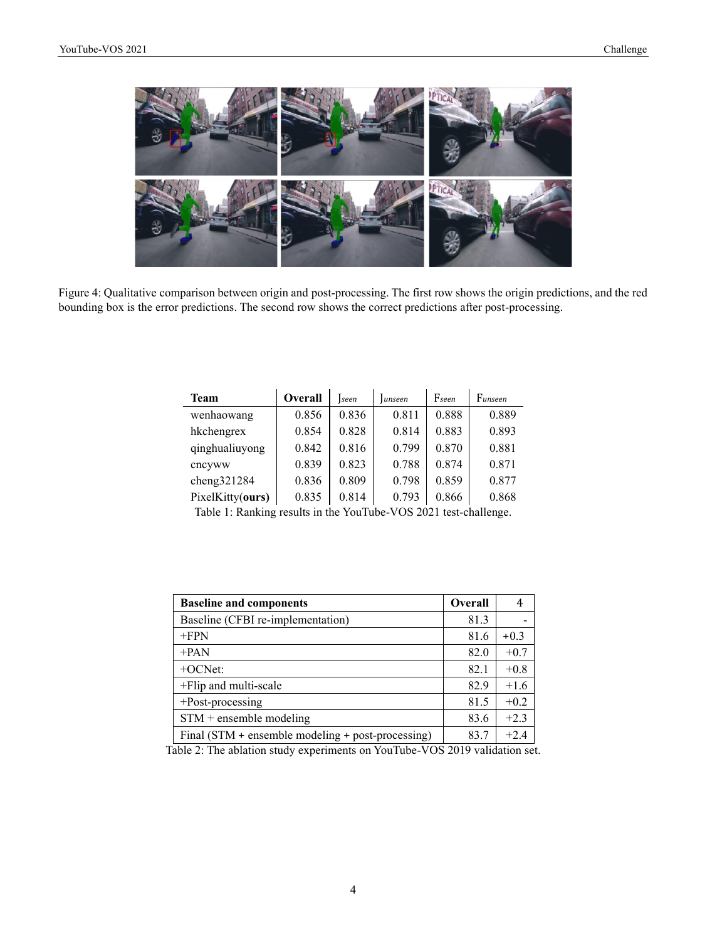

Figure 4: Qualitative comparison between origin and post-processing. The first row shows the origin predictions, and the red bounding box is the error predictions. The second row shows the correct predictions after post-processing.

| <b>Team</b>      | Overall | seen  | lunseen | Fseen                                     | Funseen |
|------------------|---------|-------|---------|-------------------------------------------|---------|
| wenhaowang       | 0.856   | 0.836 | 0.811   | 0.888                                     | 0.889   |
| hkchengrex       | 0.854   | 0.828 | 0.814   | 0.883                                     | 0.893   |
| qinghualiuyong   | 0.842   | 0.816 | 0.799   | 0.870                                     | 0.881   |
| cncyww           | 0.839   | 0.823 | 0.788   | 0.874                                     | 0.871   |
| cheng321284      | 0.836   | 0.809 | 0.798   | 0.859                                     | 0.877   |
| PixelKitty(ours) | 0.835   | 0.814 | 0.793   | 0.866                                     | 0.868   |
| ------           |         |       |         | $\sim$ $\sim$ $\sim$ $\sim$ $\sim$ $\sim$ |         |

Table 1: Ranking results in the YouTube-VOS 2021 test-challenge.

| <b>Baseline and components</b>                    | <b>Overall</b> | 4      |
|---------------------------------------------------|----------------|--------|
| Baseline (CFBI re-implementation)                 | 81.3           |        |
| $+FPN$                                            | 81.6           | $+0.3$ |
| $+PAN$                                            | 82.0           | $+0.7$ |
| $+OCNet:$                                         | 82.1           | $+0.8$ |
| +Flip and multi-scale                             | 82.9           | $+1.6$ |
| +Post-processing                                  | 81.5           | $+0.2$ |
| $STM$ + ensemble modeling                         | 83.6           | $+2.3$ |
| Final (STM + ensemble modeling + post-processing) | 83.7           | $+2.4$ |

Table 2: The ablation study experiments on YouTube-VOS 2019 validation set.